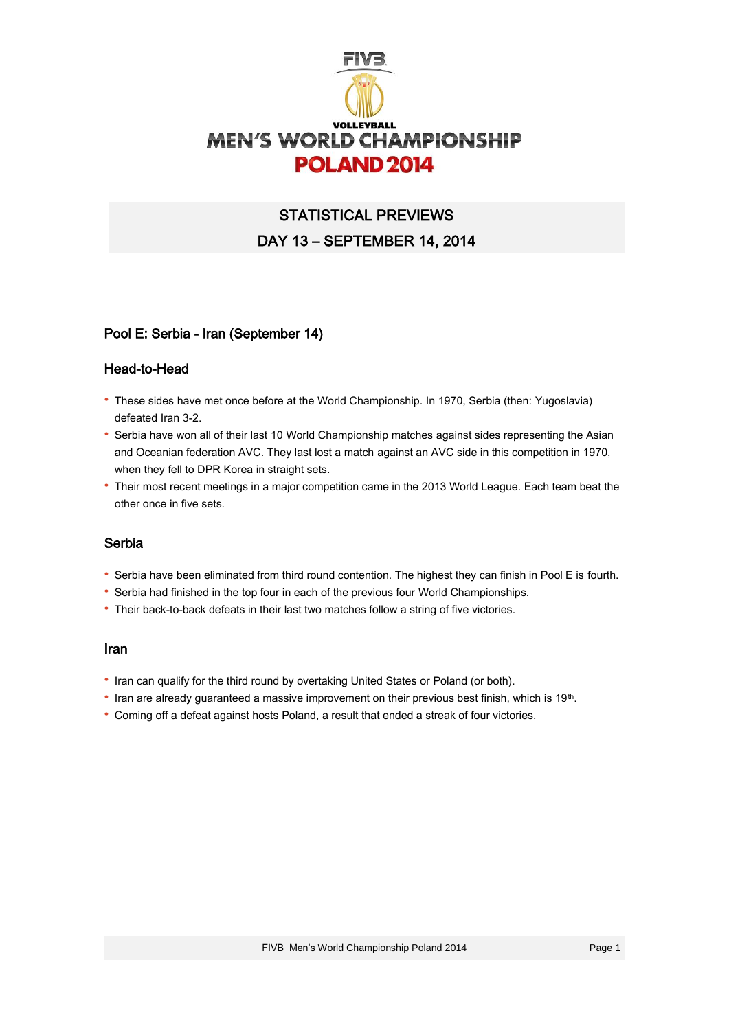

# STATISTICAL PREVIEWS DAY 13 – SEPTEMBER 14, 2014

## Pool E: Serbia - Iran (September 14)

## Head-to-Head

- · These sides have met once before at the World Championship. In 1970, Serbia (then: Yugoslavia) defeated Iran 3-2.
- · Serbia have won all of their last 10 World Championship matches against sides representing the Asian and Oceanian federation AVC. They last lost a match against an AVC side in this competition in 1970, when they fell to DPR Korea in straight sets.
- · Their most recent meetings in a major competition came in the 2013 World League. Each team beat the other once in five sets.

#### Serbia

- · Serbia have been eliminated from third round contention. The highest they can finish in Pool E is fourth.
- · Serbia had finished in the top four in each of the previous four World Championships.
- · Their back-to-back defeats in their last two matches follow a string of five victories.

#### Iran

- · Iran can qualify for the third round by overtaking United States or Poland (or both).
- Iran are already guaranteed a massive improvement on their previous best finish, which is 19<sup>th</sup>.
- · Coming off a defeat against hosts Poland, a result that ended a streak of four victories.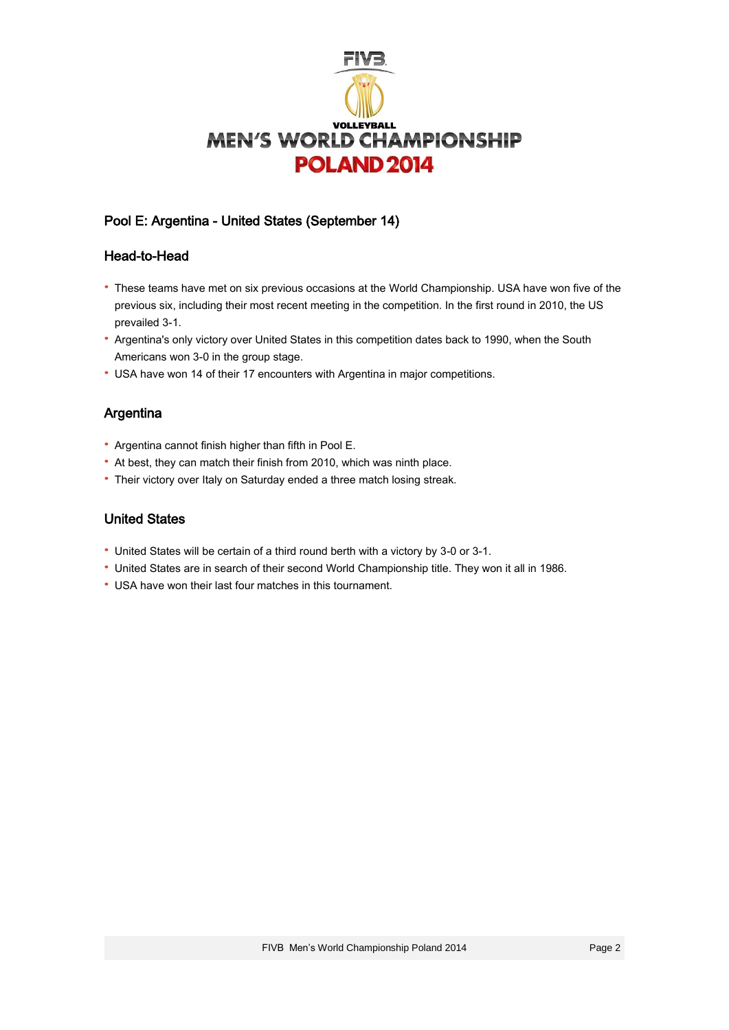

# Pool E: Argentina - United States (September 14)

## Head-to-Head

- · These teams have met on six previous occasions at the World Championship. USA have won five of the previous six, including their most recent meeting in the competition. In the first round in 2010, the US prevailed 3-1.
- · Argentina's only victory over United States in this competition dates back to 1990, when the South Americans won 3-0 in the group stage.
- · USA have won 14 of their 17 encounters with Argentina in major competitions.

# Argentina

- · Argentina cannot finish higher than fifth in Pool E.
- · At best, they can match their finish from 2010, which was ninth place.
- · Their victory over Italy on Saturday ended a three match losing streak.

# United States

- · United States will be certain of a third round berth with a victory by 3-0 or 3-1.
- · United States are in search of their second World Championship title. They won it all in 1986.
- · USA have won their last four matches in this tournament.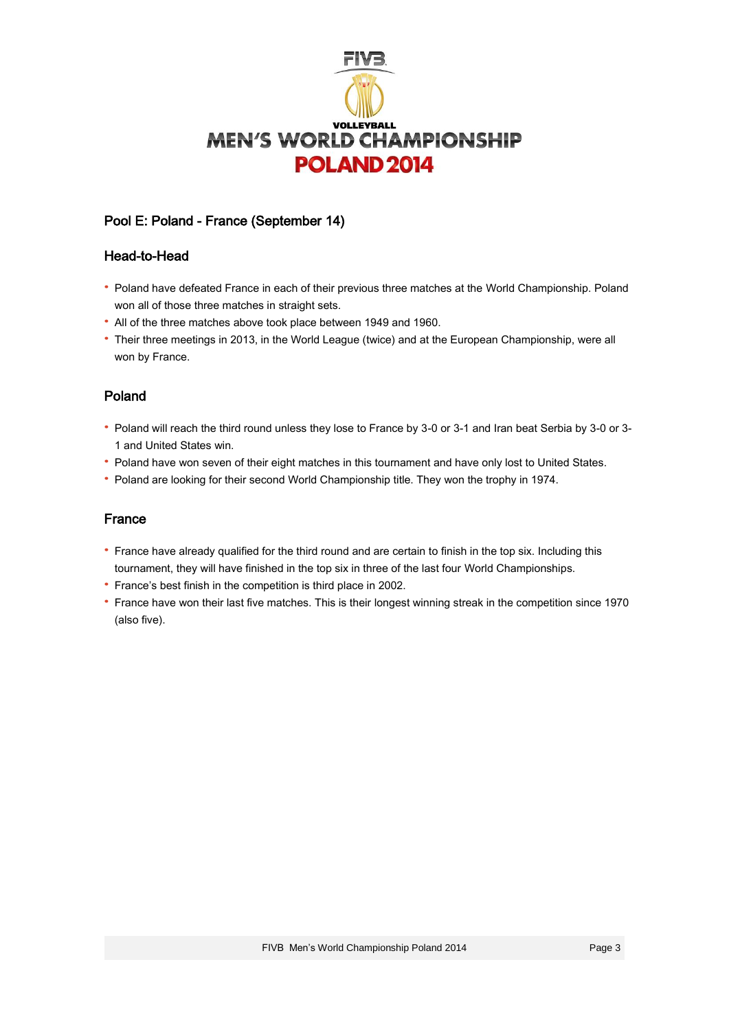

# Pool E: Poland - France (September 14)

## Head-to-Head

- · Poland have defeated France in each of their previous three matches at the World Championship. Poland won all of those three matches in straight sets.
- · All of the three matches above took place between 1949 and 1960.
- · Their three meetings in 2013, in the World League (twice) and at the European Championship, were all won by France.

# Poland

- · Poland will reach the third round unless they lose to France by 3-0 or 3-1 and Iran beat Serbia by 3-0 or 3- 1 and United States win.
- · Poland have won seven of their eight matches in this tournament and have only lost to United States.
- · Poland are looking for their second World Championship title. They won the trophy in 1974.

## France

- · France have already qualified for the third round and are certain to finish in the top six. Including this tournament, they will have finished in the top six in three of the last four World Championships.
- · France's best finish in the competition is third place in 2002.
- · France have won their last five matches. This is their longest winning streak in the competition since 1970 (also five).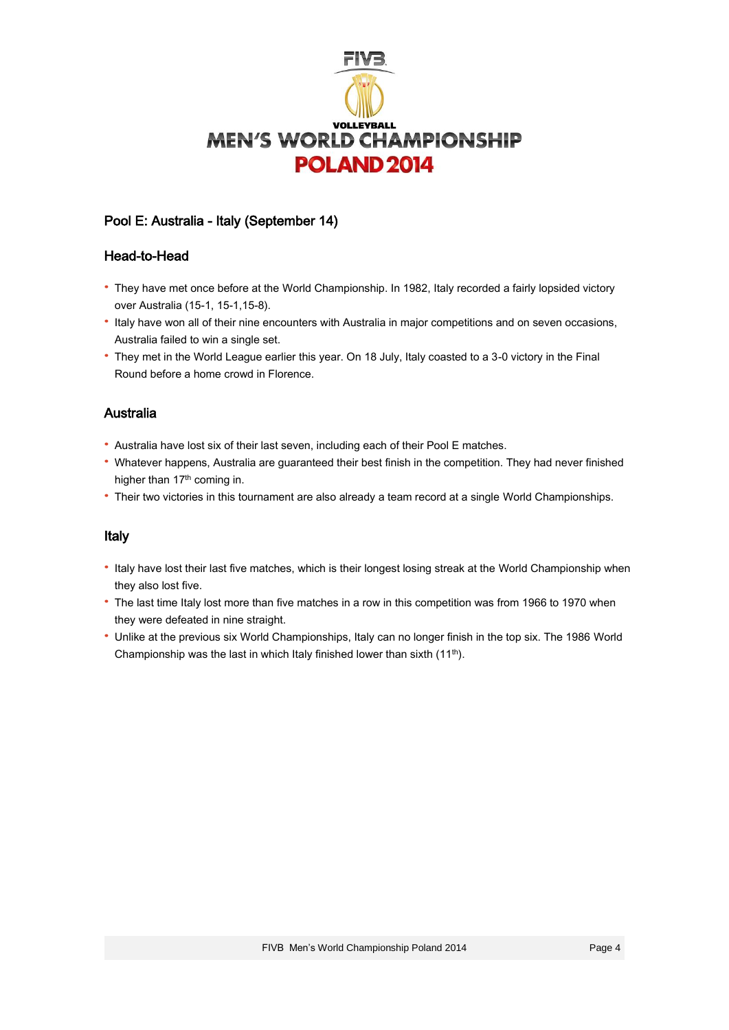

# Pool E: Australia - Italy (September 14)

#### Head-to-Head

- · They have met once before at the World Championship. In 1982, Italy recorded a fairly lopsided victory over Australia (15-1, 15-1,15-8).
- · Italy have won all of their nine encounters with Australia in major competitions and on seven occasions, Australia failed to win a single set.
- · They met in the World League earlier this year. On 18 July, Italy coasted to a 3-0 victory in the Final Round before a home crowd in Florence.

## Australia

- · Australia have lost six of their last seven, including each of their Pool E matches.
- · Whatever happens, Australia are guaranteed their best finish in the competition. They had never finished higher than 17<sup>th</sup> coming in.
- · Their two victories in this tournament are also already a team record at a single World Championships.

## Italy

- · Italy have lost their last five matches, which is their longest losing streak at the World Championship when they also lost five.
- · The last time Italy lost more than five matches in a row in this competition was from 1966 to 1970 when they were defeated in nine straight.
- · Unlike at the previous six World Championships, Italy can no longer finish in the top six. The 1986 World Championship was the last in which Italy finished lower than sixth  $(11<sup>th</sup>)$ .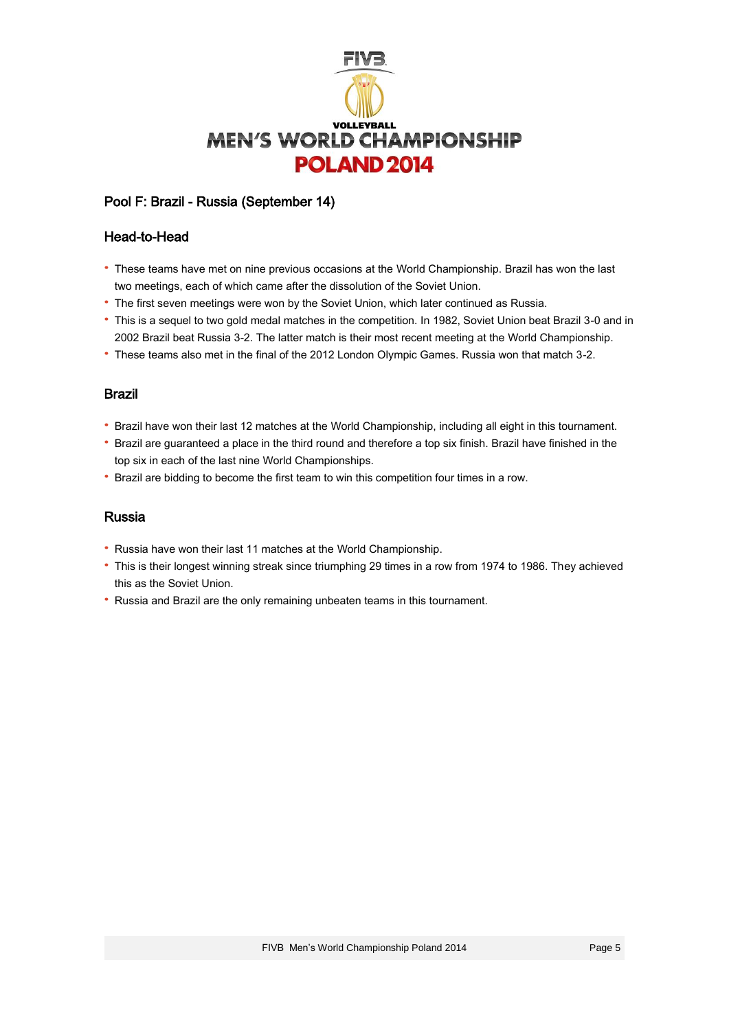

# Pool F: Brazil - Russia (September 14)

#### Head-to-Head

- · These teams have met on nine previous occasions at the World Championship. Brazil has won the last two meetings, each of which came after the dissolution of the Soviet Union.
- · The first seven meetings were won by the Soviet Union, which later continued as Russia.
- · This is a sequel to two gold medal matches in the competition. In 1982, Soviet Union beat Brazil 3-0 and in 2002 Brazil beat Russia 3-2. The latter match is their most recent meeting at the World Championship.
- · These teams also met in the final of the 2012 London Olympic Games. Russia won that match 3-2.

#### Brazil

- · Brazil have won their last 12 matches at the World Championship, including all eight in this tournament.
- · Brazil are guaranteed a place in the third round and therefore a top six finish. Brazil have finished in the top six in each of the last nine World Championships.
- · Brazil are bidding to become the first team to win this competition four times in a row.

#### Russia

- · Russia have won their last 11 matches at the World Championship.
- · This is their longest winning streak since triumphing 29 times in a row from 1974 to 1986. They achieved this as the Soviet Union.
- · Russia and Brazil are the only remaining unbeaten teams in this tournament.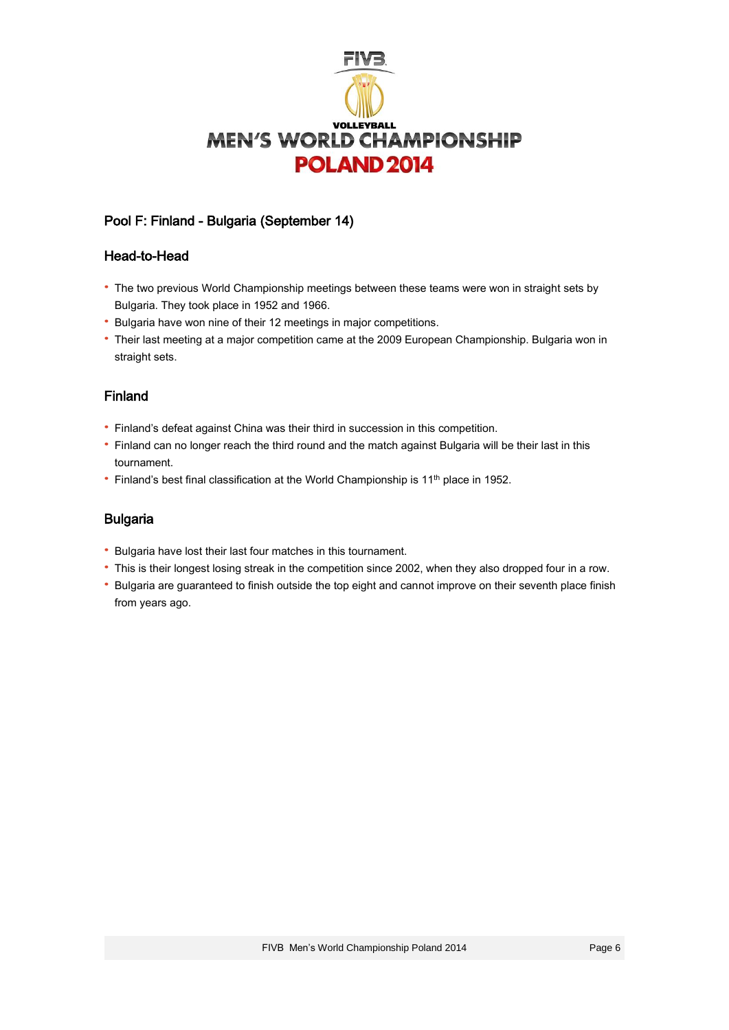

# Pool F: Finland - Bulgaria (September 14)

#### Head-to-Head

- · The two previous World Championship meetings between these teams were won in straight sets by Bulgaria. They took place in 1952 and 1966.
- · Bulgaria have won nine of their 12 meetings in major competitions.
- · Their last meeting at a major competition came at the 2009 European Championship. Bulgaria won in straight sets.

# Finland

- · Finland's defeat against China was their third in succession in this competition.
- · Finland can no longer reach the third round and the match against Bulgaria will be their last in this tournament.
- Finland's best final classification at the World Championship is 11<sup>th</sup> place in 1952.

## Bulgaria

- · Bulgaria have lost their last four matches in this tournament.
- · This is their longest losing streak in the competition since 2002, when they also dropped four in a row.
- · Bulgaria are guaranteed to finish outside the top eight and cannot improve on their seventh place finish from years ago.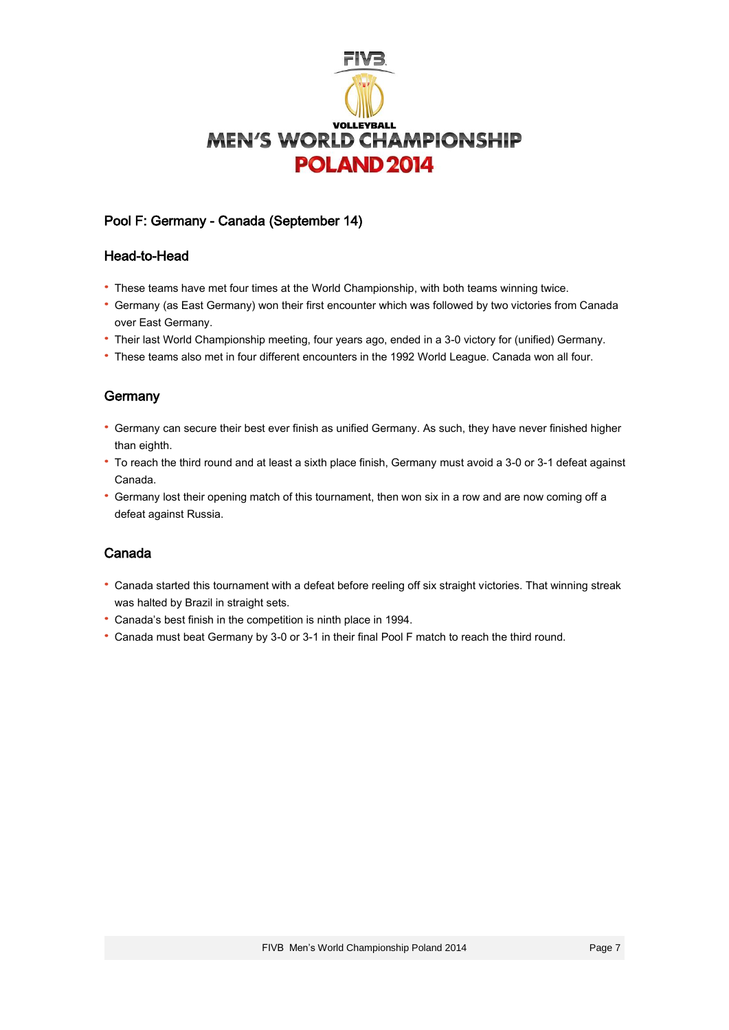

# Pool F: Germany - Canada (September 14)

## Head-to-Head

- · These teams have met four times at the World Championship, with both teams winning twice.
- · Germany (as East Germany) won their first encounter which was followed by two victories from Canada over East Germany.
- · Their last World Championship meeting, four years ago, ended in a 3-0 victory for (unified) Germany.
- · These teams also met in four different encounters in the 1992 World League. Canada won all four.

# **Germany**

- · Germany can secure their best ever finish as unified Germany. As such, they have never finished higher than eighth.
- · To reach the third round and at least a sixth place finish, Germany must avoid a 3-0 or 3-1 defeat against Canada.
- · Germany lost their opening match of this tournament, then won six in a row and are now coming off a defeat against Russia.

## Canada

- · Canada started this tournament with a defeat before reeling off six straight victories. That winning streak was halted by Brazil in straight sets.
- · Canada's best finish in the competition is ninth place in 1994.
- · Canada must beat Germany by 3-0 or 3-1 in their final Pool F match to reach the third round.